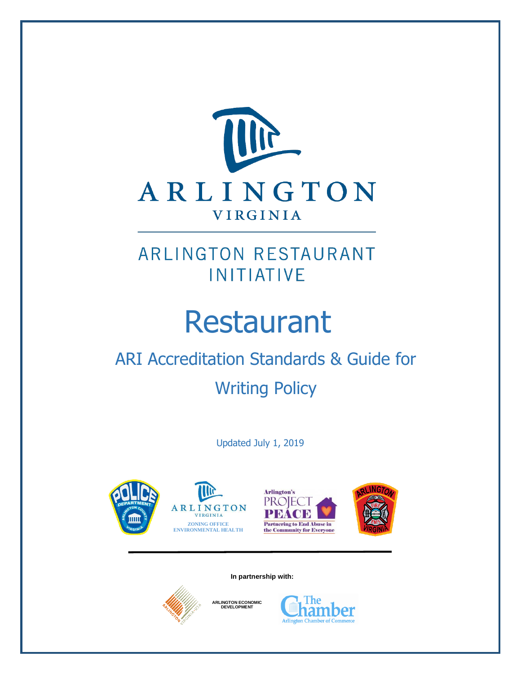

# Restaurant

# ARI Accreditation Standards & Guide for

Writing Policy

Updated July 1, 2019









**In partnership with:**



**ARLINGTON ECONOMIC DEVELOPMENT**

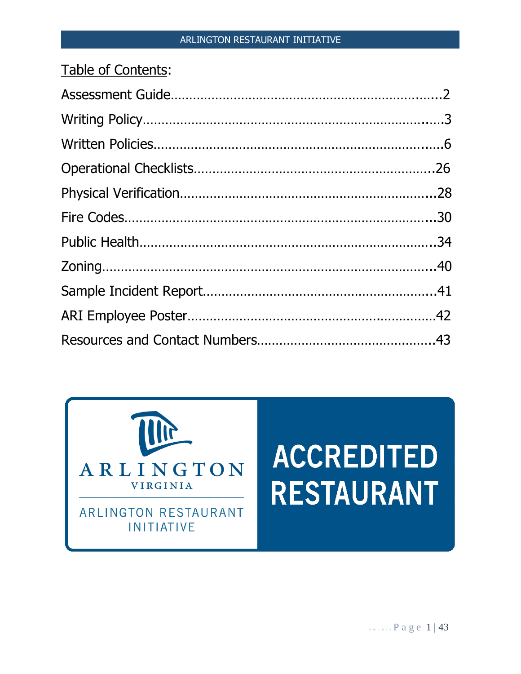| Table of Contents: |  |
|--------------------|--|
|                    |  |
|                    |  |
|                    |  |
|                    |  |
|                    |  |
|                    |  |
|                    |  |
|                    |  |
|                    |  |
|                    |  |
|                    |  |



# **ACCREDITED RESTAURANT**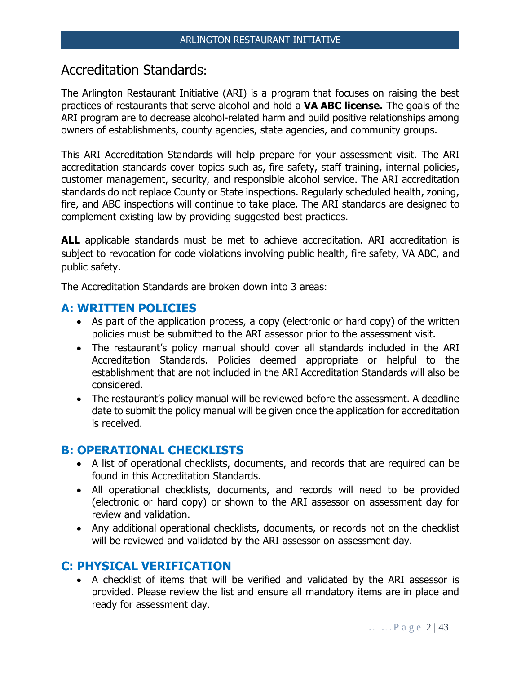## Accreditation Standards:

The Arlington Restaurant Initiative (ARI) is a program that focuses on raising the best practices of restaurants that serve alcohol and hold a **VA ABC license.** The goals of the ARI program are to decrease alcohol-related harm and build positive relationships among owners of establishments, county agencies, state agencies, and community groups.

This ARI Accreditation Standards will help prepare for your assessment visit. The ARI accreditation standards cover topics such as, fire safety, staff training, internal policies, customer management, security, and responsible alcohol service. The ARI accreditation standards do not replace County or State inspections. Regularly scheduled health, zoning, fire, and ABC inspections will continue to take place. The ARI standards are designed to complement existing law by providing suggested best practices.

**ALL** applicable standards must be met to achieve accreditation. ARI accreditation is subject to revocation for code violations involving public health, fire safety, VA ABC, and public safety.

The Accreditation Standards are broken down into 3 areas:

## **A: WRITTEN POLICIES**

- As part of the application process, a copy (electronic or hard copy) of the written policies must be submitted to the ARI assessor prior to the assessment visit.
- The restaurant's policy manual should cover all standards included in the ARI Accreditation Standards. Policies deemed appropriate or helpful to the establishment that are not included in the ARI Accreditation Standards will also be considered.
- The restaurant's policy manual will be reviewed before the assessment. A deadline date to submit the policy manual will be given once the application for accreditation is received.

## **B: OPERATIONAL CHECKLISTS**

- A list of operational checklists, documents, and records that are required can be found in this Accreditation Standards.
- All operational checklists, documents, and records will need to be provided (electronic or hard copy) or shown to the ARI assessor on assessment day for review and validation.
- Any additional operational checklists, documents, or records not on the checklist will be reviewed and validated by the ARI assessor on assessment day.

## **C: PHYSICAL VERIFICATION**

• A checklist of items that will be verified and validated by the ARI assessor is provided. Please review the list and ensure all mandatory items are in place and ready for assessment day.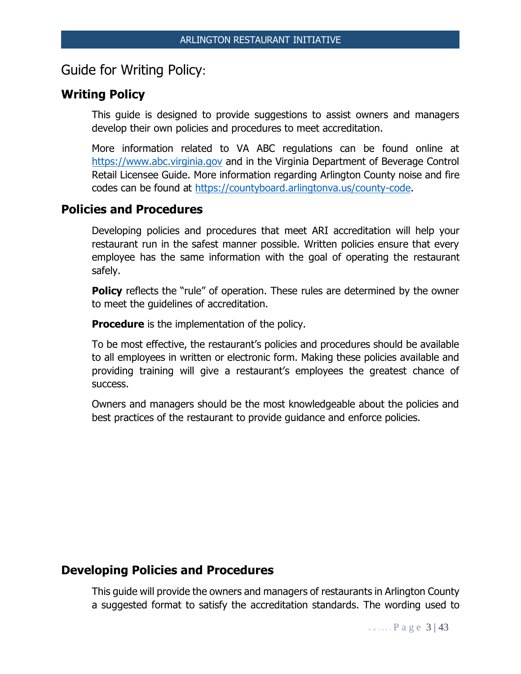## Guide for Writing Policy:

## **Writing Policy**

This guide is designed to provide suggestions to assist owners and managers develop their own policies and procedures to meet accreditation.

More information related to VA ABC regulations can be found online at [https://www.abc.virginia.gov](https://www.abc.virginia.gov/) and in the Virginia Department of Beverage Control Retail Licensee Guide. More information regarding Arlington County noise and fire codes can be found at [https://countyboard.arlingtonva.us/county-code.](https://countyboard.arlingtonva.us/county-code)

## **Policies and Procedures**

Developing policies and procedures that meet ARI accreditation will help your restaurant run in the safest manner possible. Written policies ensure that every employee has the same information with the goal of operating the restaurant safely.

**Policy** reflects the "rule" of operation. These rules are determined by the owner to meet the guidelines of accreditation.

**Procedure** is the implementation of the policy.

To be most effective, the restaurant's policies and procedures should be available to all employees in written or electronic form. Making these policies available and providing training will give a restaurant's employees the greatest chance of success.

Owners and managers should be the most knowledgeable about the policies and best practices of the restaurant to provide guidance and enforce policies.

## **Developing Policies and Procedures**

This guide will provide the owners and managers of restaurants in Arlington County a suggested format to satisfy the accreditation standards. The wording used to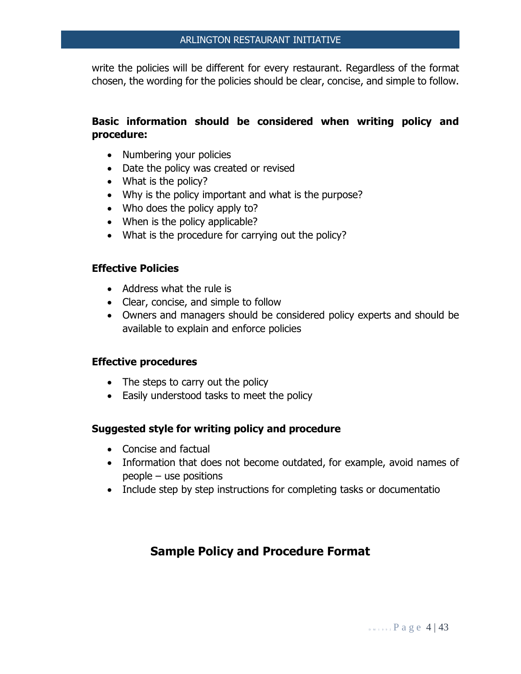write the policies will be different for every restaurant. Regardless of the format chosen, the wording for the policies should be clear, concise, and simple to follow.

## **Basic information should be considered when writing policy and procedure:**

- Numbering your policies
- Date the policy was created or revised
- What is the policy?
- Why is the policy important and what is the purpose?
- Who does the policy apply to?
- When is the policy applicable?
- What is the procedure for carrying out the policy?

## **Effective Policies**

- Address what the rule is
- Clear, concise, and simple to follow
- Owners and managers should be considered policy experts and should be available to explain and enforce policies

#### **Effective procedures**

- The steps to carry out the policy
- Easily understood tasks to meet the policy

#### **Suggested style for writing policy and procedure**

- Concise and factual
- Information that does not become outdated, for example, avoid names of people – use positions
- Include step by step instructions for completing tasks or documentatio

## **Sample Policy and Procedure Format**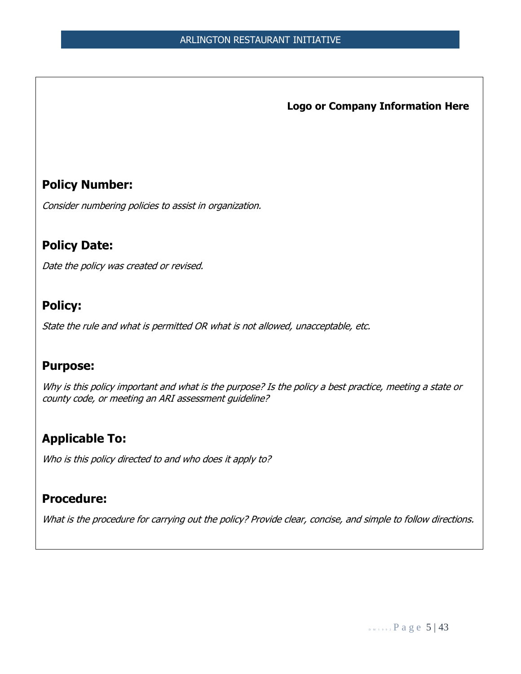**Logo or Company Information Here**

## **Policy Number:**

Consider numbering policies to assist in organization.

## **Policy Date:**

Date the policy was created or revised.

## **Policy:**

State the rule and what is permitted OR what is not allowed, unacceptable, etc.

## **Purpose:**

Why is this policy important and what is the purpose? Is the policy a best practice, meeting a state or county code, or meeting an ARI assessment guideline?

## **Applicable To:**

Who is this policy directed to and who does it apply to?

## **Procedure:**

What is the procedure for carrying out the policy? Provide clear, concise, and simple to follow directions.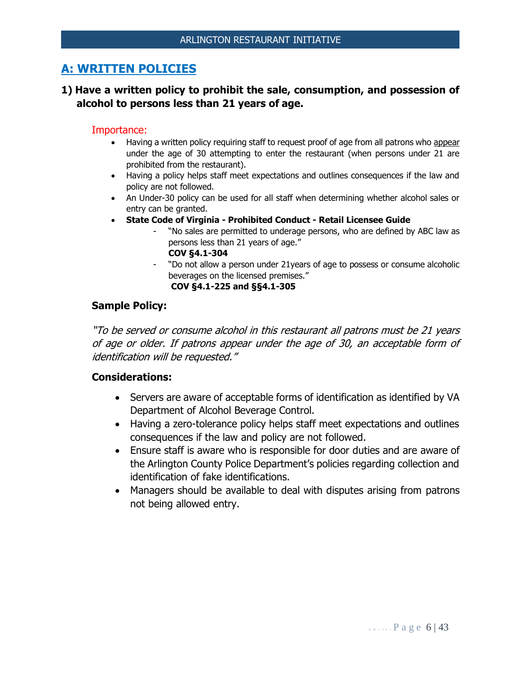## **A: WRITTEN POLICIES**

## **1) Have a written policy to prohibit the sale, consumption, and possession of alcohol to persons less than 21 years of age.**

#### Importance:

- Having a written policy requiring staff to request proof of age from all patrons who appear under the age of 30 attempting to enter the restaurant (when persons under 21 are prohibited from the restaurant).
- Having a policy helps staff meet expectations and outlines consequences if the law and policy are not followed.
- An Under-30 policy can be used for all staff when determining whether alcohol sales or entry can be granted.
- **State Code of Virginia - Prohibited Conduct - Retail Licensee Guide**
	- "No sales are permitted to underage persons, who are defined by ABC law as persons less than 21 years of age."
		- **COV §4.1-304**
	- "Do not allow a person under 21years of age to possess or consume alcoholic beverages on the licensed premises." **COV §4.1-225 and §§4.1-305**

#### **Sample Policy:**

"To be served or consume alcohol in this restaurant all patrons must be 21 years of age or older. If patrons appear under the age of 30, an acceptable form of identification will be requested."

- Servers are aware of acceptable forms of identification as identified by VA Department of Alcohol Beverage Control.
- Having a zero-tolerance policy helps staff meet expectations and outlines consequences if the law and policy are not followed.
- Ensure staff is aware who is responsible for door duties and are aware of the Arlington County Police Department's policies regarding collection and identification of fake identifications.
- Managers should be available to deal with disputes arising from patrons not being allowed entry.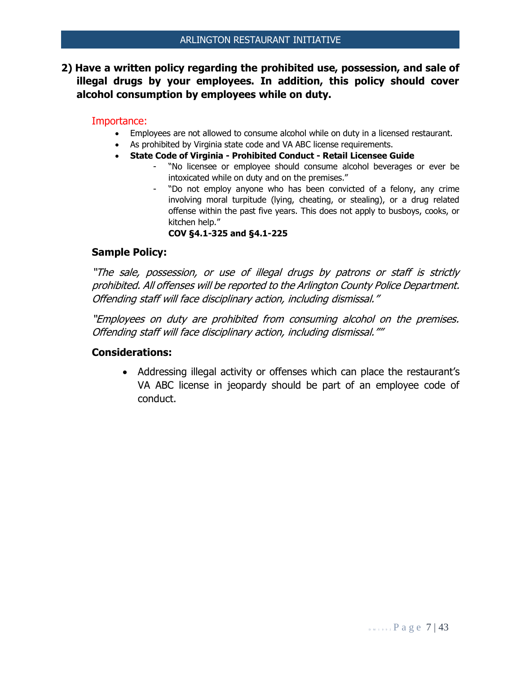**2) Have a written policy regarding the prohibited use, possession, and sale of illegal drugs by your employees. In addition, this policy should cover alcohol consumption by employees while on duty.**

#### Importance:

- Employees are not allowed to consume alcohol while on duty in a licensed restaurant.
- As prohibited by Virginia state code and VA ABC license requirements.
- **State Code of Virginia - Prohibited Conduct - Retail Licensee Guide**
	- "No licensee or employee should consume alcohol beverages or ever be intoxicated while on duty and on the premises."
	- "Do not employ anyone who has been convicted of a felony, any crime involving moral turpitude (lying, cheating, or stealing), or a drug related offense within the past five years. This does not apply to busboys, cooks, or kitchen help."

**COV §4.1-325 and §4.1-225**

#### **Sample Policy:**

"The sale, possession, or use of illegal drugs by patrons or staff is strictly prohibited. All offenses will be reported to the Arlington County Police Department. Offending staff will face disciplinary action, including dismissal."

"Employees on duty are prohibited from consuming alcohol on the premises. Offending staff will face disciplinary action, including dismissal.""

#### **Considerations:**

• Addressing illegal activity or offenses which can place the restaurant's VA ABC license in jeopardy should be part of an employee code of conduct.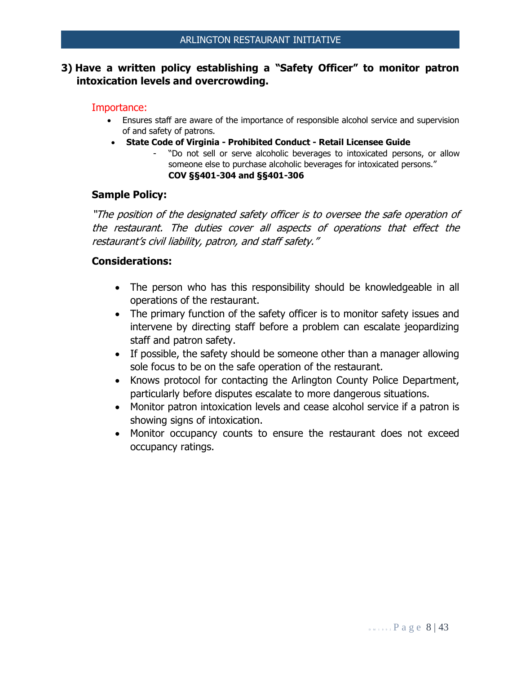## **3) Have a written policy establishing a "Safety Officer" to monitor patron intoxication levels and overcrowding.**

#### Importance:

- Ensures staff are aware of the importance of responsible alcohol service and supervision of and safety of patrons.
- **State Code of Virginia - Prohibited Conduct - Retail Licensee Guide**
	- "Do not sell or serve alcoholic beverages to intoxicated persons, or allow someone else to purchase alcoholic beverages for intoxicated persons." **COV §§401-304 and §§401-306**

## **Sample Policy:**

"The position of the designated safety officer is to oversee the safe operation of the restaurant. The duties cover all aspects of operations that effect the restaurant's civil liability, patron, and staff safety."

- The person who has this responsibility should be knowledgeable in all operations of the restaurant.
- The primary function of the safety officer is to monitor safety issues and intervene by directing staff before a problem can escalate jeopardizing staff and patron safety.
- If possible, the safety should be someone other than a manager allowing sole focus to be on the safe operation of the restaurant.
- Knows protocol for contacting the Arlington County Police Department, particularly before disputes escalate to more dangerous situations.
- Monitor patron intoxication levels and cease alcohol service if a patron is showing signs of intoxication.
- Monitor occupancy counts to ensure the restaurant does not exceed occupancy ratings.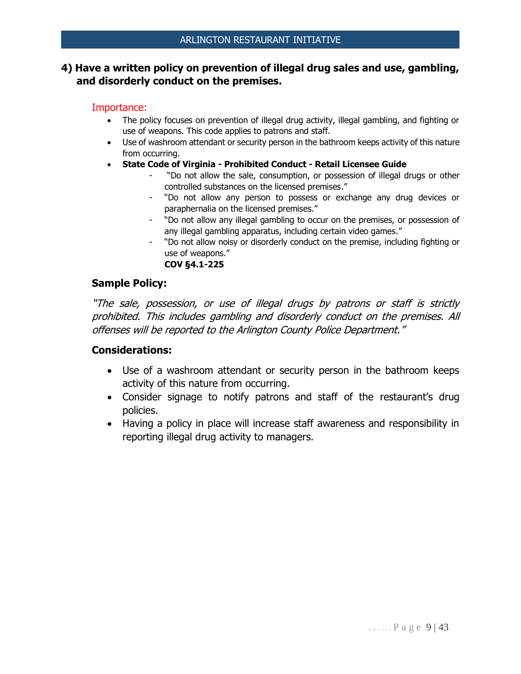## **4) Have a written policy on prevention of illegal drug sales and use, gambling, and disorderly conduct on the premises.**

#### Importance:

- The policy focuses on prevention of illegal drug activity, illegal gambling, and fighting or use of weapons. This code applies to patrons and staff.
- Use of washroom attendant or security person in the bathroom keeps activity of this nature from occurring.
- **State Code of Virginia - Prohibited Conduct - Retail Licensee Guide**
	- "Do not allow the sale, consumption, or possession of illegal drugs or other controlled substances on the licensed premises."
	- "Do not allow any person to possess or exchange any drug devices or paraphernalia on the licensed premises."
	- "Do not allow any illegal gambling to occur on the premises, or possession of any illegal gambling apparatus, including certain video games."
	- "Do not allow noisy or disorderly conduct on the premise, including fighting or use of weapons."

**COV §4.1-225**

#### **Sample Policy:**

"The sale, possession, or use of illegal drugs by patrons or staff is strictly prohibited. This includes gambling and disorderly conduct on the premises. All offenses will be reported to the Arlington County Police Department."

- Use of a washroom attendant or security person in the bathroom keeps activity of this nature from occurring.
- Consider signage to notify patrons and staff of the restaurant's drug policies.
- Having a policy in place will increase staff awareness and responsibility in reporting illegal drug activity to managers.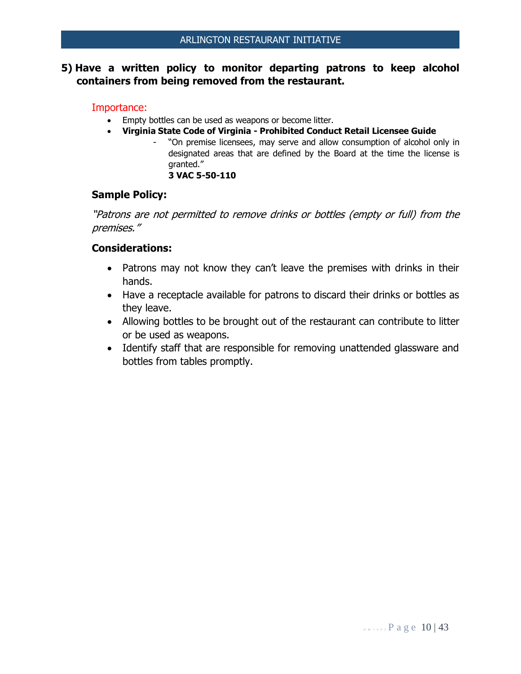## **5) Have a written policy to monitor departing patrons to keep alcohol containers from being removed from the restaurant.**

#### Importance:

- Empty bottles can be used as weapons or become litter.
- **Virginia State Code of Virginia - Prohibited Conduct Retail Licensee Guide**
	- "On premise licensees, may serve and allow consumption of alcohol only in designated areas that are defined by the Board at the time the license is granted."

#### **3 VAC 5-50-110**

#### **Sample Policy:**

"Patrons are not permitted to remove drinks or bottles (empty or full) from the premises."

- Patrons may not know they can't leave the premises with drinks in their hands.
- Have a receptacle available for patrons to discard their drinks or bottles as they leave.
- Allowing bottles to be brought out of the restaurant can contribute to litter or be used as weapons.
- Identify staff that are responsible for removing unattended glassware and bottles from tables promptly.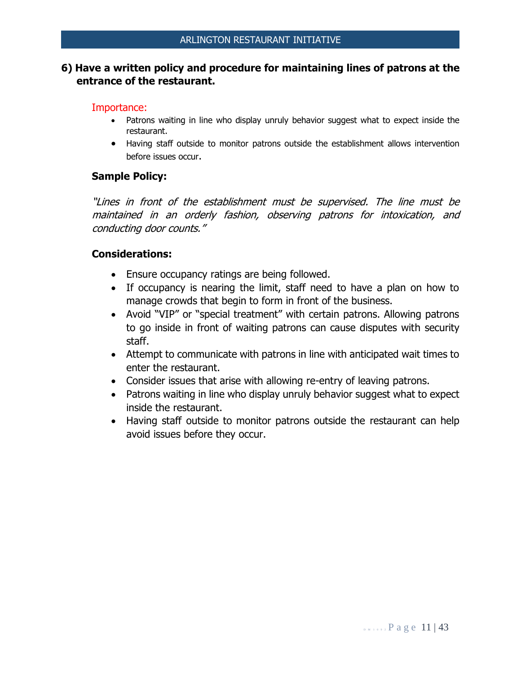## **6) Have a written policy and procedure for maintaining lines of patrons at the entrance of the restaurant.**

#### Importance:

- Patrons waiting in line who display unruly behavior suggest what to expect inside the restaurant.
- Having staff outside to monitor patrons outside the establishment allows intervention before issues occur.

#### **Sample Policy:**

"Lines in front of the establishment must be supervised. The line must be maintained in an orderly fashion, observing patrons for intoxication, and conducting door counts."

- Ensure occupancy ratings are being followed.
- If occupancy is nearing the limit, staff need to have a plan on how to manage crowds that begin to form in front of the business.
- Avoid "VIP" or "special treatment" with certain patrons. Allowing patrons to go inside in front of waiting patrons can cause disputes with security staff.
- Attempt to communicate with patrons in line with anticipated wait times to enter the restaurant.
- Consider issues that arise with allowing re-entry of leaving patrons.
- Patrons waiting in line who display unruly behavior suggest what to expect inside the restaurant.
- Having staff outside to monitor patrons outside the restaurant can help avoid issues before they occur.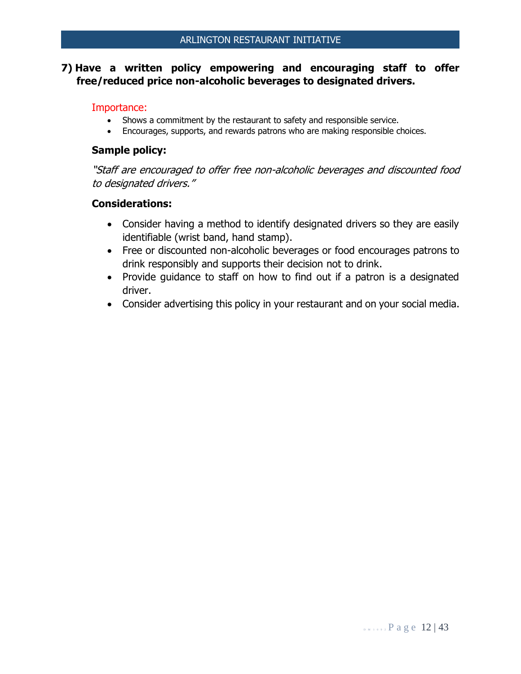## **7) Have a written policy empowering and encouraging staff to offer free/reduced price non-alcoholic beverages to designated drivers.**

#### Importance:

- Shows a commitment by the restaurant to safety and responsible service.
- Encourages, supports, and rewards patrons who are making responsible choices.

#### **Sample policy:**

"Staff are encouraged to offer free non-alcoholic beverages and discounted food to designated drivers."

- Consider having a method to identify designated drivers so they are easily identifiable (wrist band, hand stamp).
- Free or discounted non-alcoholic beverages or food encourages patrons to drink responsibly and supports their decision not to drink.
- Provide guidance to staff on how to find out if a patron is a designated driver.
- Consider advertising this policy in your restaurant and on your social media.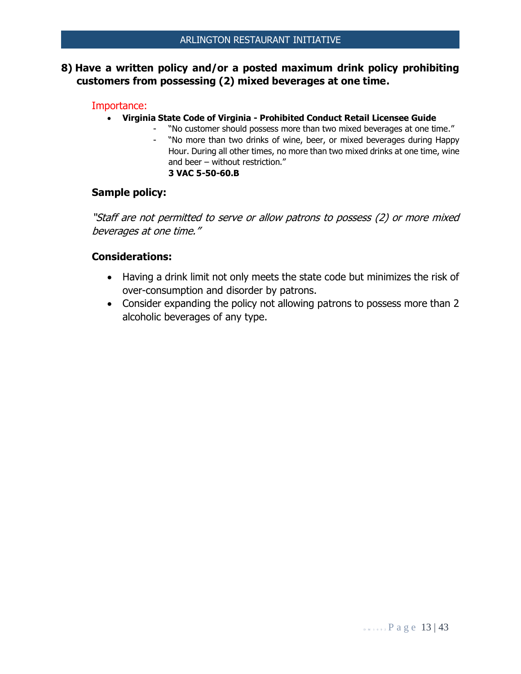## **8) Have a written policy and/or a posted maximum drink policy prohibiting customers from possessing (2) mixed beverages at one time.**

#### Importance:

- **Virginia State Code of Virginia - Prohibited Conduct Retail Licensee Guide**
	- "No customer should possess more than two mixed beverages at one time."<br>- "No more than two drinks of wine. beer. or mixed beverages during Hanny
		- "No more than two drinks of wine, beer, or mixed beverages during Happy Hour. During all other times, no more than two mixed drinks at one time, wine and beer – without restriction." **3 VAC 5-50-60.B**

#### **Sample policy:**

"Staff are not permitted to serve or allow patrons to possess (2) or more mixed beverages at one time."

- Having a drink limit not only meets the state code but minimizes the risk of over-consumption and disorder by patrons.
- Consider expanding the policy not allowing patrons to possess more than 2 alcoholic beverages of any type.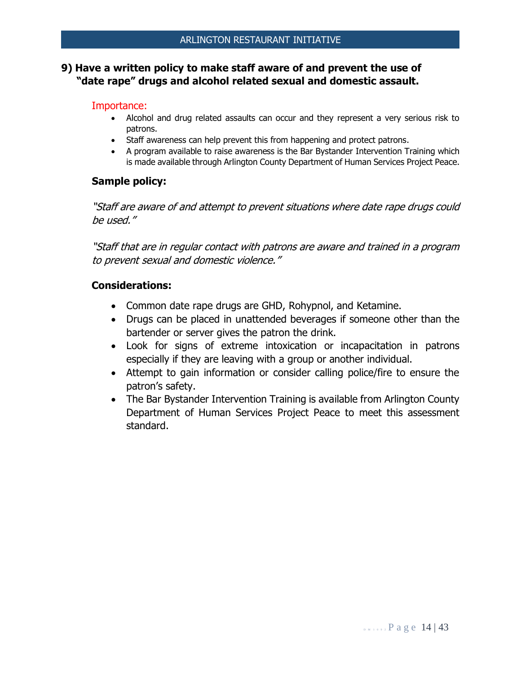## **9) Have a written policy to make staff aware of and prevent the use of "date rape" drugs and alcohol related sexual and domestic assault.**

#### Importance:

- Alcohol and drug related assaults can occur and they represent a very serious risk to patrons.
- Staff awareness can help prevent this from happening and protect patrons.
- A program available to raise awareness is the Bar Bystander Intervention Training which is made available through Arlington County Department of Human Services Project Peace.

## **Sample policy:**

"Staff are aware of and attempt to prevent situations where date rape drugs could be used."

"Staff that are in regular contact with patrons are aware and trained in a program to prevent sexual and domestic violence."

- Common date rape drugs are GHD, Rohypnol, and Ketamine.
- Drugs can be placed in unattended beverages if someone other than the bartender or server gives the patron the drink.
- Look for signs of extreme intoxication or incapacitation in patrons especially if they are leaving with a group or another individual.
- Attempt to gain information or consider calling police/fire to ensure the patron's safety.
- The Bar Bystander Intervention Training is available from Arlington County Department of Human Services Project Peace to meet this assessment standard.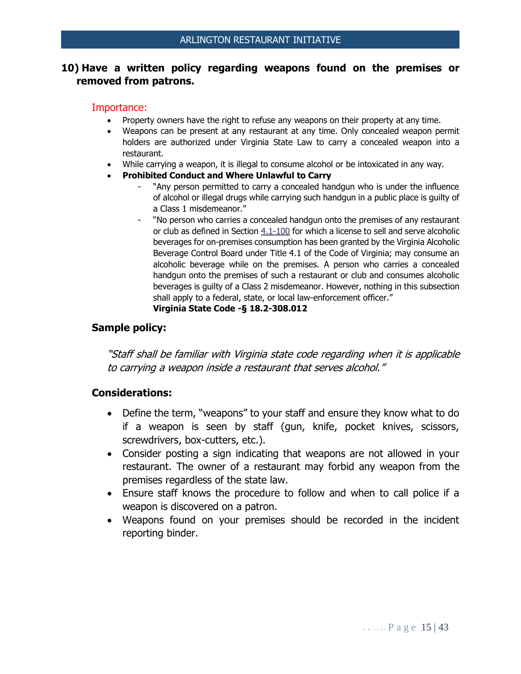## **10) Have a written policy regarding weapons found on the premises or removed from patrons.**

#### Importance:

- Property owners have the right to refuse any weapons on their property at any time.
- Weapons can be present at any restaurant at any time. Only concealed weapon permit holders are authorized under Virginia State Law to carry a concealed weapon into a restaurant.
- While carrying a weapon, it is illegal to consume alcohol or be intoxicated in any way.
- **Prohibited Conduct and Where Unlawful to Carry** 
	- "Any person permitted to carry a concealed handgun who is under the influence of alcohol or illegal drugs while carrying such handgun in a public place is guilty of a Class 1 misdemeanor."
	- "No person who carries a concealed handgun onto the premises of any restaurant or club as defined in Section [4.1-100](http://leg1.state.va.us/cgi-bin/legp504.exe?000+cod+4.1-100) for which a license to sell and serve alcoholic beverages for on-premises consumption has been granted by the Virginia Alcoholic Beverage Control Board under Title 4.1 of the Code of Virginia; may consume an alcoholic beverage while on the premises. A person who carries a concealed handgun onto the premises of such a restaurant or club and consumes alcoholic beverages is guilty of a Class 2 misdemeanor. However, nothing in this subsection shall apply to a federal, state, or local law-enforcement officer." **Virginia State Code -§ 18.2-308.012**

#### **Sample policy:**

"Staff shall be familiar with Virginia state code regarding when it is applicable to carrying a weapon inside a restaurant that serves alcohol."

- Define the term, "weapons" to your staff and ensure they know what to do if a weapon is seen by staff (gun, knife, pocket knives, scissors, screwdrivers, box-cutters, etc.).
- Consider posting a sign indicating that weapons are not allowed in your restaurant. The owner of a restaurant may forbid any weapon from the premises regardless of the state law.
- Ensure staff knows the procedure to follow and when to call police if a weapon is discovered on a patron.
- Weapons found on your premises should be recorded in the incident reporting binder.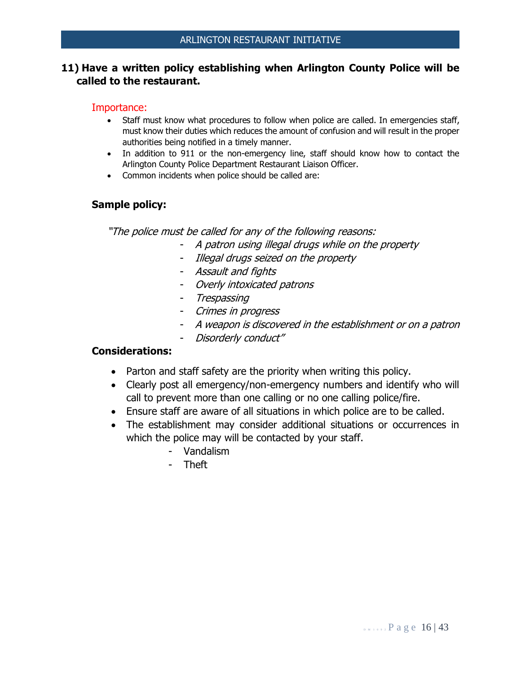## **11) Have a written policy establishing when Arlington County Police will be called to the restaurant.**

#### Importance:

- Staff must know what procedures to follow when police are called. In emergencies staff, must know their duties which reduces the amount of confusion and will result in the proper authorities being notified in a timely manner.
- In addition to 911 or the non-emergency line, staff should know how to contact the Arlington County Police Department Restaurant Liaison Officer.
- Common incidents when police should be called are:

#### **Sample policy:**

"The police must be called for any of the following reasons:

- A patron using illegal drugs while on the property
- Illegal drugs seized on the property
- Assault and fights
- Overly intoxicated patrons
- Trespassing
- Crimes in progress
- A weapon is discovered in the establishment or on a patron
- Disorderly conduct"

- Parton and staff safety are the priority when writing this policy.
- Clearly post all emergency/non-emergency numbers and identify who will call to prevent more than one calling or no one calling police/fire.
- Ensure staff are aware of all situations in which police are to be called.
- The establishment may consider additional situations or occurrences in which the police may will be contacted by your staff.
	- Vandalism
	- Theft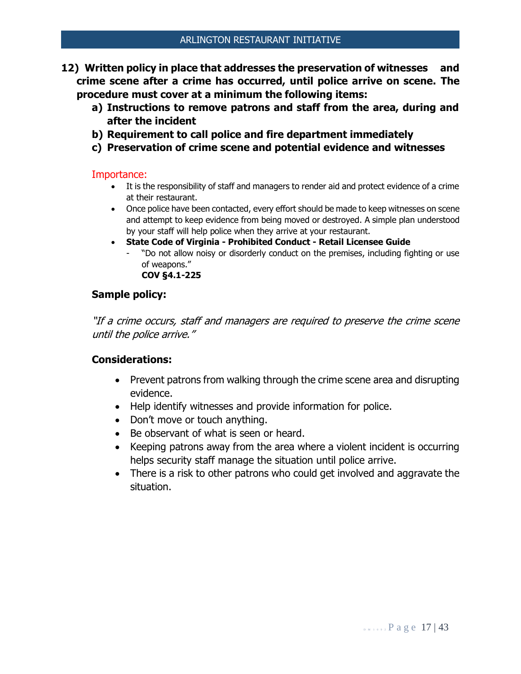- **12) Written policy in place that addresses the preservation of witnesses and crime scene after a crime has occurred, until police arrive on scene. The procedure must cover at a minimum the following items:**
	- **a) Instructions to remove patrons and staff from the area, during and after the incident**
	- **b) Requirement to call police and fire department immediately**
	- **c) Preservation of crime scene and potential evidence and witnesses**

- It is the responsibility of staff and managers to render aid and protect evidence of a crime at their restaurant.
- Once police have been contacted, every effort should be made to keep witnesses on scene and attempt to keep evidence from being moved or destroyed. A simple plan understood by your staff will help police when they arrive at your restaurant.
- **State Code of Virginia - Prohibited Conduct - Retail Licensee Guide**
	- "Do not allow noisy or disorderly conduct on the premises, including fighting or use of weapons." **COV §4.1-225**

## **Sample policy:**

"If a crime occurs, staff and managers are required to preserve the crime scene until the police arrive."

- Prevent patrons from walking through the crime scene area and disrupting evidence.
- Help identify witnesses and provide information for police.
- Don't move or touch anything.
- Be observant of what is seen or heard.
- Keeping patrons away from the area where a violent incident is occurring helps security staff manage the situation until police arrive.
- There is a risk to other patrons who could get involved and aggravate the situation.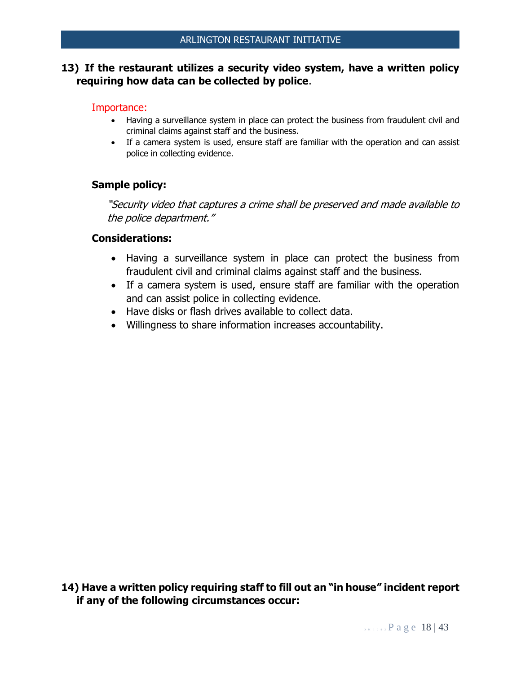## **13) If the restaurant utilizes a security video system, have a written policy requiring how data can be collected by police**.

#### Importance:

- Having a surveillance system in place can protect the business from fraudulent civil and criminal claims against staff and the business.
- If a camera system is used, ensure staff are familiar with the operation and can assist police in collecting evidence.

#### **Sample policy:**

"Security video that captures a crime shall be preserved and made available to the police department."

#### **Considerations:**

- Having a surveillance system in place can protect the business from fraudulent civil and criminal claims against staff and the business.
- If a camera system is used, ensure staff are familiar with the operation and can assist police in collecting evidence.
- Have disks or flash drives available to collect data.
- Willingness to share information increases accountability.

**14) Have a written policy requiring staff to fill out an "in house" incident report if any of the following circumstances occur:**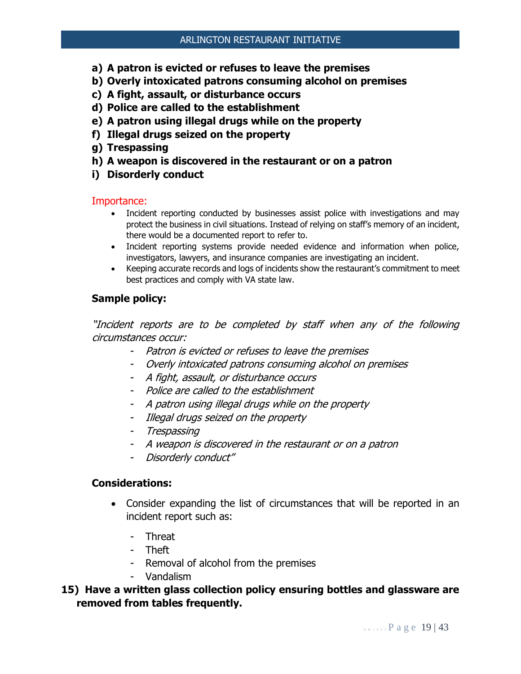- **a) A patron is evicted or refuses to leave the premises**
- **b) Overly intoxicated patrons consuming alcohol on premises**
- **c) A fight, assault, or disturbance occurs**
- **d) Police are called to the establishment**
- **e) A patron using illegal drugs while on the property**
- **f) Illegal drugs seized on the property**
- **g) Trespassing**
- **h) A weapon is discovered in the restaurant or on a patron**
- **i) Disorderly conduct**

- Incident reporting conducted by businesses assist police with investigations and may protect the business in civil situations. Instead of relying on staff's memory of an incident, there would be a documented report to refer to.
- Incident reporting systems provide needed evidence and information when police, investigators, lawyers, and insurance companies are investigating an incident.
- Keeping accurate records and logs of incidents show the restaurant's commitment to meet best practices and comply with VA state law.

## **Sample policy:**

"Incident reports are to be completed by staff when any of the following circumstances occur:

- Patron is evicted or refuses to leave the premises
- Overly intoxicated patrons consuming alcohol on premises
- A fight, assault, or disturbance occurs
- Police are called to the establishment
- A patron using illegal drugs while on the property
- Illegal drugs seized on the property
- Trespassing
- A weapon is discovered in the restaurant or on a patron
- Disorderly conduct"

- Consider expanding the list of circumstances that will be reported in an incident report such as:
	- Threat
	- Theft
	- Removal of alcohol from the premises
	- Vandalism
- **15) Have a written glass collection policy ensuring bottles and glassware are removed from tables frequently.**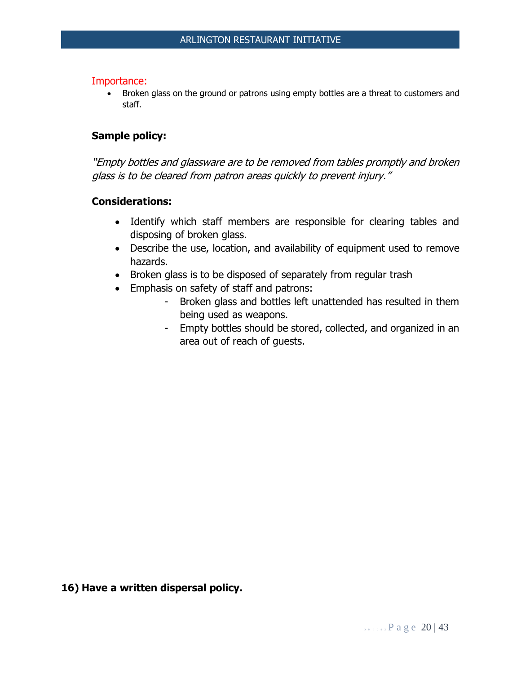• Broken glass on the ground or patrons using empty bottles are a threat to customers and staff.

#### **Sample policy:**

"Empty bottles and glassware are to be removed from tables promptly and broken glass is to be cleared from patron areas quickly to prevent injury."

#### **Considerations:**

- Identify which staff members are responsible for clearing tables and disposing of broken glass.
- Describe the use, location, and availability of equipment used to remove hazards.
- Broken glass is to be disposed of separately from regular trash
- Emphasis on safety of staff and patrons:
	- Broken glass and bottles left unattended has resulted in them being used as weapons.
	- Empty bottles should be stored, collected, and organized in an area out of reach of guests.

**16) Have a written dispersal policy.**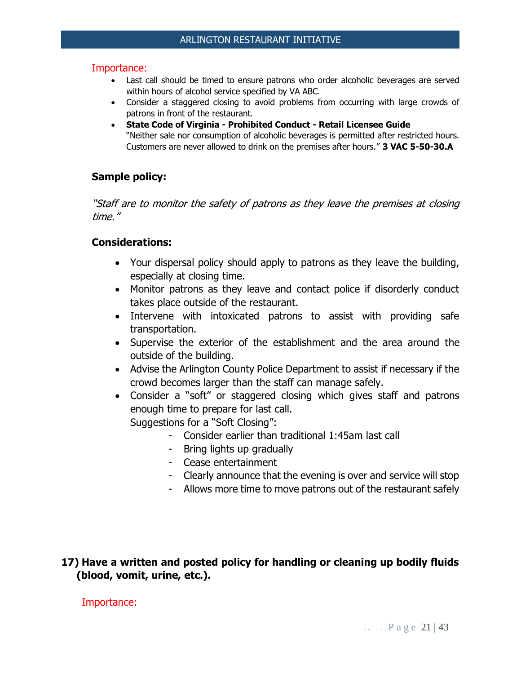- Last call should be timed to ensure patrons who order alcoholic beverages are served within hours of alcohol service specified by VA ABC.
- Consider a staggered closing to avoid problems from occurring with large crowds of patrons in front of the restaurant.
- **State Code of Virginia - Prohibited Conduct - Retail Licensee Guide** "Neither sale nor consumption of alcoholic beverages is permitted after restricted hours. Customers are never allowed to drink on the premises after hours." **3 VAC 5-50-30.A**

## **Sample policy:**

"Staff are to monitor the safety of patrons as they leave the premises at closing time."

#### **Considerations:**

- Your dispersal policy should apply to patrons as they leave the building, especially at closing time.
- Monitor patrons as they leave and contact police if disorderly conduct takes place outside of the restaurant.
- Intervene with intoxicated patrons to assist with providing safe transportation.
- Supervise the exterior of the establishment and the area around the outside of the building.
- Advise the Arlington County Police Department to assist if necessary if the crowd becomes larger than the staff can manage safely.
- Consider a "soft" or staggered closing which gives staff and patrons enough time to prepare for last call. Suggestions for a "Soft Closing":
	- Consider earlier than traditional 1:45am last call
	- Bring lights up gradually
	- Cease entertainment
	- Clearly announce that the evening is over and service will stop
	- Allows more time to move patrons out of the restaurant safely

## **17) Have a written and posted policy for handling or cleaning up bodily fluids (blood, vomit, urine, etc.).**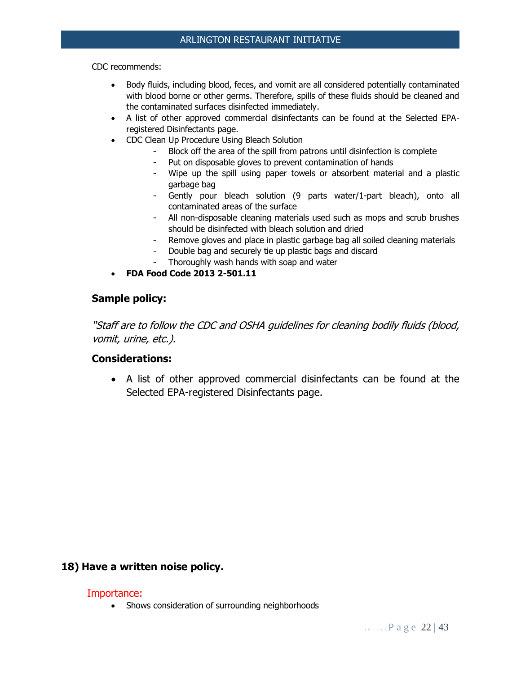CDC recommends:

- Body fluids, including blood, feces, and vomit are all considered potentially contaminated with blood borne or other germs. Therefore, spills of these fluids should be cleaned and the contaminated surfaces disinfected immediately.
- A list of other approved commercial disinfectants can be found at the Selected EPAregistered Disinfectants page.
- CDC Clean Up Procedure Using Bleach Solution
	- Block off the area of the spill from patrons until disinfection is complete
	- Put on disposable gloves to prevent contamination of hands
	- Wipe up the spill using paper towels or absorbent material and a plastic garbage bag
	- Gently pour bleach solution (9 parts water/1-part bleach), onto all contaminated areas of the surface
	- All non-disposable cleaning materials used such as mops and scrub brushes should be disinfected with bleach solution and dried
	- Remove gloves and place in plastic garbage bag all soiled cleaning materials
	- Double bag and securely tie up plastic bags and discard
	- Thoroughly wash hands with soap and water
- **FDA Food Code 2013 2-501.11**

## **Sample policy:**

"Staff are to follow the CDC and OSHA guidelines for cleaning bodily fluids (blood, vomit, urine, etc.).

#### **Considerations:**

• A list of other approved commercial disinfectants can be found at the Selected EPA-registered Disinfectants page.

#### **18) Have a written noise policy.**

#### Importance:

• Shows consideration of surrounding neighborhoods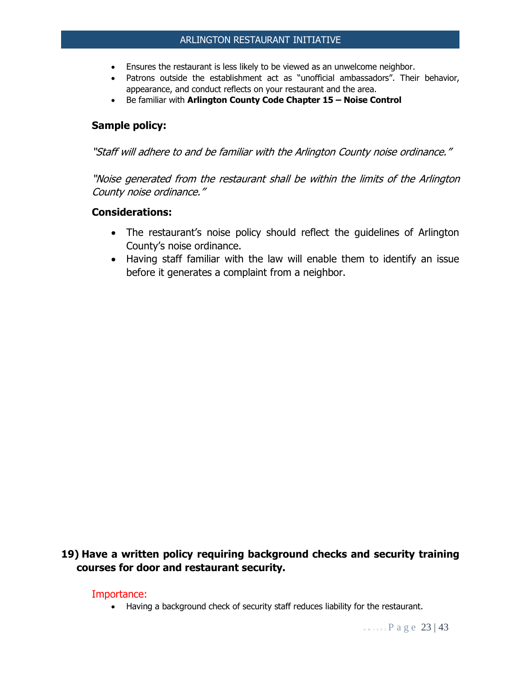- Ensures the restaurant is less likely to be viewed as an unwelcome neighbor.
- Patrons outside the establishment act as "unofficial ambassadors". Their behavior, appearance, and conduct reflects on your restaurant and the area.
- Be familiar with **Arlington County Code Chapter 15 – Noise Control**

## **Sample policy:**

"Staff will adhere to and be familiar with the Arlington County noise ordinance."

"Noise generated from the restaurant shall be within the limits of the Arlington County noise ordinance."

#### **Considerations:**

- The restaurant's noise policy should reflect the guidelines of Arlington County's noise ordinance.
- Having staff familiar with the law will enable them to identify an issue before it generates a complaint from a neighbor.

## **19) Have a written policy requiring background checks and security training courses for door and restaurant security.**

#### Importance:

• Having a background check of security staff reduces liability for the restaurant.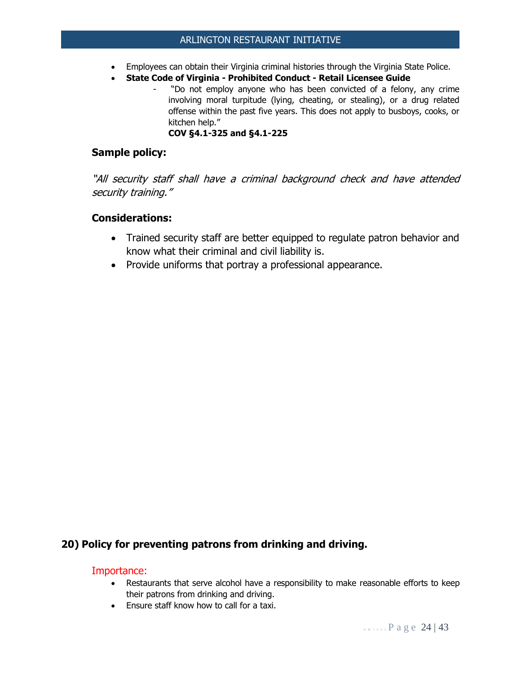- Employees can obtain their Virginia criminal histories through the Virginia State Police.
- **State Code of Virginia - Prohibited Conduct - Retail Licensee Guide**
	- "Do not employ anyone who has been convicted of a felony, any crime involving moral turpitude (lying, cheating, or stealing), or a drug related offense within the past five years. This does not apply to busboys, cooks, or kitchen help."

**COV §4.1-325 and §4.1-225**

#### **Sample policy:**

"All security staff shall have a criminal background check and have attended security training."

#### **Considerations:**

- Trained security staff are better equipped to regulate patron behavior and know what their criminal and civil liability is.
- Provide uniforms that portray a professional appearance.

#### **20) Policy for preventing patrons from drinking and driving.**

- Restaurants that serve alcohol have a responsibility to make reasonable efforts to keep their patrons from drinking and driving.
- Ensure staff know how to call for a taxi.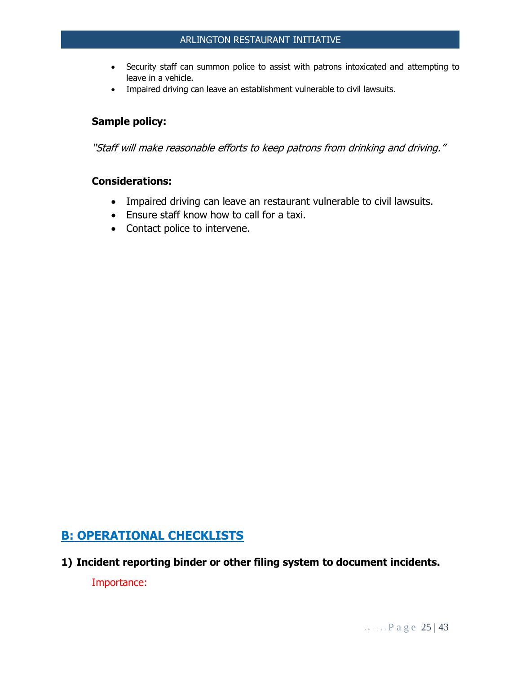- Security staff can summon police to assist with patrons intoxicated and attempting to leave in a vehicle.
- Impaired driving can leave an establishment vulnerable to civil lawsuits.

## **Sample policy:**

"Staff will make reasonable efforts to keep patrons from drinking and driving."

## **Considerations:**

- Impaired driving can leave an restaurant vulnerable to civil lawsuits.
- Ensure staff know how to call for a taxi.
- Contact police to intervene.

## **B: OPERATIONAL CHECKLISTS**

**1) Incident reporting binder or other filing system to document incidents.**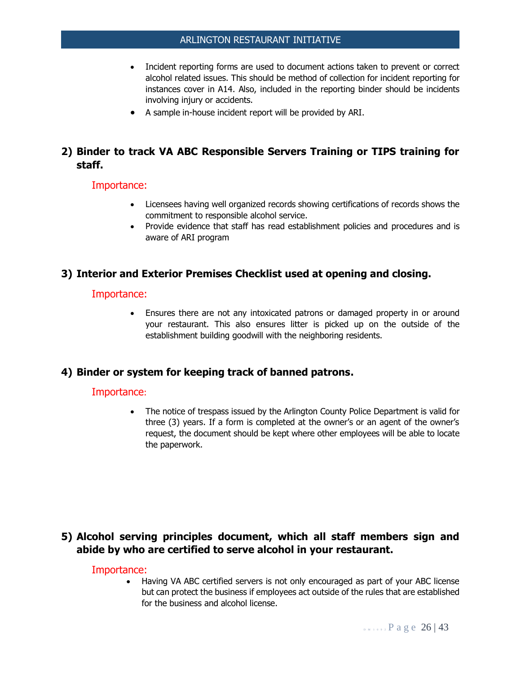- Incident reporting forms are used to document actions taken to prevent or correct alcohol related issues. This should be method of collection for incident reporting for instances cover in A14. Also, included in the reporting binder should be incidents involving injury or accidents.
- A sample in-house incident report will be provided by ARI.

## **2) Binder to track VA ABC Responsible Servers Training or TIPS training for staff.**

#### Importance:

- Licensees having well organized records showing certifications of records shows the commitment to responsible alcohol service.
- Provide evidence that staff has read establishment policies and procedures and is aware of ARI program

#### **3) Interior and Exterior Premises Checklist used at opening and closing.**

#### Importance:

• Ensures there are not any intoxicated patrons or damaged property in or around your restaurant. This also ensures litter is picked up on the outside of the establishment building goodwill with the neighboring residents.

#### **4) Binder or system for keeping track of banned patrons.**

#### Importance:

The notice of trespass issued by the Arlington County Police Department is valid for three (3) years. If a form is completed at the owner's or an agent of the owner's request, the document should be kept where other employees will be able to locate the paperwork.

## **5) Alcohol serving principles document, which all staff members sign and abide by who are certified to serve alcohol in your restaurant.**

#### Importance:

• Having VA ABC certified servers is not only encouraged as part of your ABC license but can protect the business if employees act outside of the rules that are established for the business and alcohol license.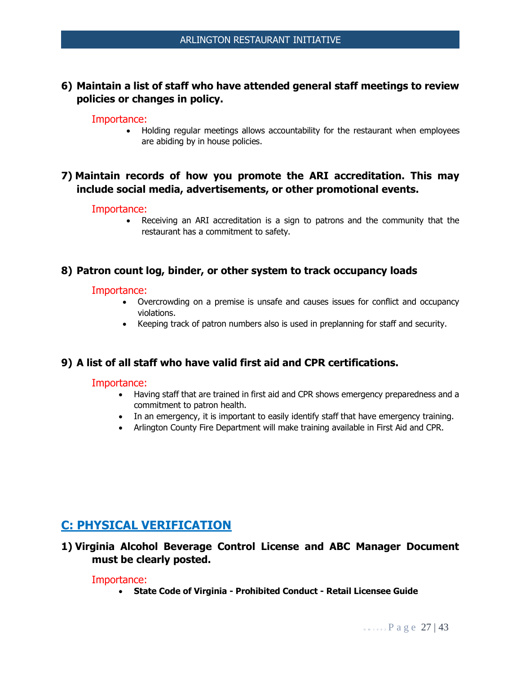## **6) Maintain a list of staff who have attended general staff meetings to review policies or changes in policy.**

#### Importance:

• Holding regular meetings allows accountability for the restaurant when employees are abiding by in house policies.

## **7) Maintain records of how you promote the ARI accreditation. This may include social media, advertisements, or other promotional events.**

#### Importance:

• Receiving an ARI accreditation is a sign to patrons and the community that the restaurant has a commitment to safety.

#### **8) Patron count log, binder, or other system to track occupancy loads**

#### Importance:

- Overcrowding on a premise is unsafe and causes issues for conflict and occupancy violations.
- Keeping track of patron numbers also is used in preplanning for staff and security.

#### **9) A list of all staff who have valid first aid and CPR certifications.**

#### Importance:

- Having staff that are trained in first aid and CPR shows emergency preparedness and a commitment to patron health.
- In an emergency, it is important to easily identify staff that have emergency training.
- Arlington County Fire Department will make training available in First Aid and CPR.

## **C: PHYSICAL VERIFICATION**

**1) Virginia Alcohol Beverage Control License and ABC Manager Document must be clearly posted.**

#### Importance:

• **State Code of Virginia - Prohibited Conduct - Retail Licensee Guide**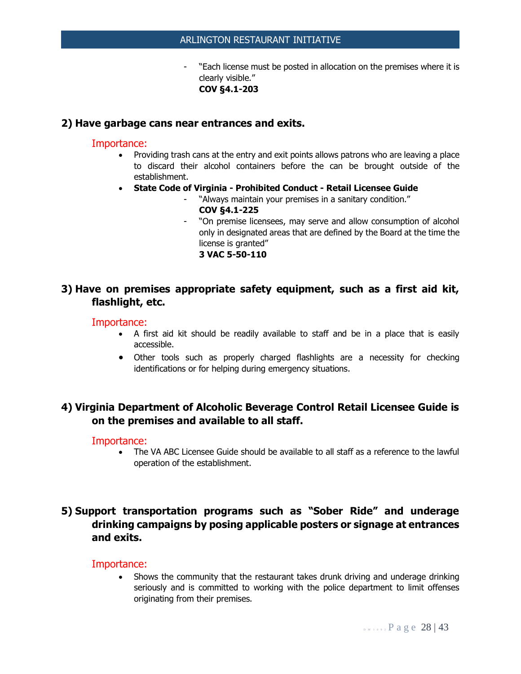"Each license must be posted in allocation on the premises where it is clearly visible." **COV §4.1-203**

#### **2) Have garbage cans near entrances and exits.**

#### Importance:

- Providing trash cans at the entry and exit points allows patrons who are leaving a place to discard their alcohol containers before the can be brought outside of the establishment.
- **State Code of Virginia - Prohibited Conduct - Retail Licensee Guide**
	- "Always maintain your premises in a sanitary condition." **COV §4.1-225**
	- "On premise licensees, may serve and allow consumption of alcohol only in designated areas that are defined by the Board at the time the license is granted" **3 VAC 5-50-110**

## **3) Have on premises appropriate safety equipment, such as a first aid kit, flashlight, etc.**

#### Importance:

- A first aid kit should be readily available to staff and be in a place that is easily accessible.
- Other tools such as properly charged flashlights are a necessity for checking identifications or for helping during emergency situations.

## **4) Virginia Department of Alcoholic Beverage Control Retail Licensee Guide is on the premises and available to all staff.**

#### Importance:

• The VA ABC Licensee Guide should be available to all staff as a reference to the lawful operation of the establishment.

## **5) Support transportation programs such as "Sober Ride" and underage drinking campaigns by posing applicable posters or signage at entrances and exits.**

#### Importance:

• Shows the community that the restaurant takes drunk driving and underage drinking seriously and is committed to working with the police department to limit offenses originating from their premises.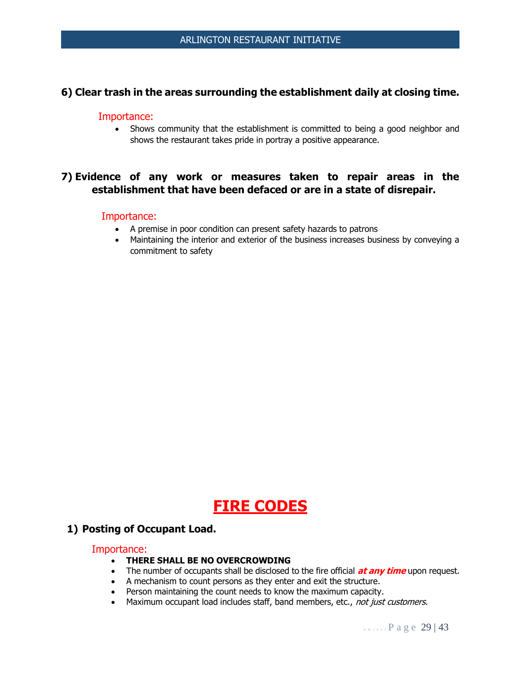#### **6) Clear trash in the areas surrounding the establishment daily at closing time.**

#### Importance:

• Shows community that the establishment is committed to being a good neighbor and shows the restaurant takes pride in portray a positive appearance.

## **7) Evidence of any work or measures taken to repair areas in the establishment that have been defaced or are in a state of disrepair.**

#### Importance:

- A premise in poor condition can present safety hazards to patrons
- Maintaining the interior and exterior of the business increases business by conveying a commitment to safety

# **FIRE CODES**

#### **1) Posting of Occupant Load.**

- **THERE SHALL BE NO OVERCROWDING**
- The number of occupants shall be disclosed to the fire official **at any time** upon request.
- A mechanism to count persons as they enter and exit the structure.
- Person maintaining the count needs to know the maximum capacity.
- Maximum occupant load includes staff, band members, etc., not just customers.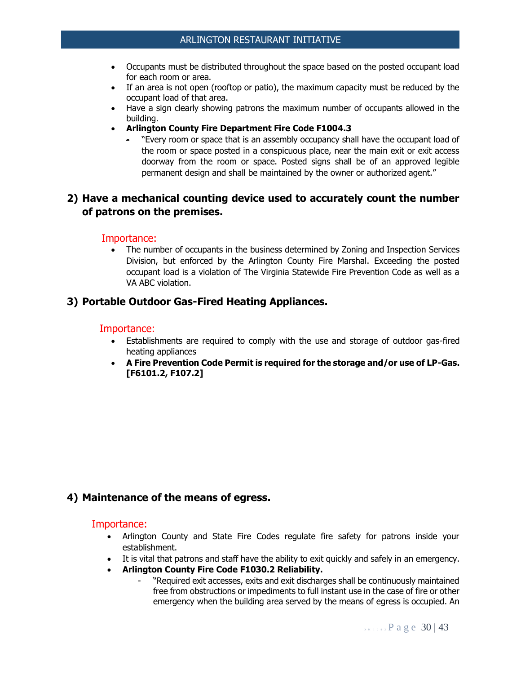- Occupants must be distributed throughout the space based on the posted occupant load for each room or area.
- If an area is not open (rooftop or patio), the maximum capacity must be reduced by the occupant load of that area.
- Have a sign clearly showing patrons the maximum number of occupants allowed in the building.
- **Arlington County Fire Department Fire Code F1004.3**
	- "Every room or space that is an assembly occupancy shall have the occupant load of the room or space posted in a conspicuous place, near the main exit or exit access doorway from the room or space. Posted signs shall be of an approved legible permanent design and shall be maintained by the owner or authorized agent."

## **2) Have a mechanical counting device used to accurately count the number of patrons on the premises.**

#### Importance:

• The number of occupants in the business determined by Zoning and Inspection Services Division, but enforced by the Arlington County Fire Marshal. Exceeding the posted occupant load is a violation of The Virginia Statewide Fire Prevention Code as well as a VA ABC violation.

#### **3) Portable Outdoor Gas-Fired Heating Appliances.**

#### Importance:

- Establishments are required to comply with the use and storage of outdoor gas-fired heating appliances
- **A Fire Prevention Code Permit is required for the storage and/or use of LP-Gas. [F6101.2, F107.2]**

#### **4) Maintenance of the means of egress.**

- Arlington County and State Fire Codes regulate fire safety for patrons inside your establishment.
- It is vital that patrons and staff have the ability to exit quickly and safely in an emergency.
- **Arlington County Fire Code F1030.2 Reliability.**
	- "Required exit accesses, exits and exit discharges shall be continuously maintained free from obstructions or impediments to full instant use in the case of fire or other emergency when the building area served by the means of egress is occupied. An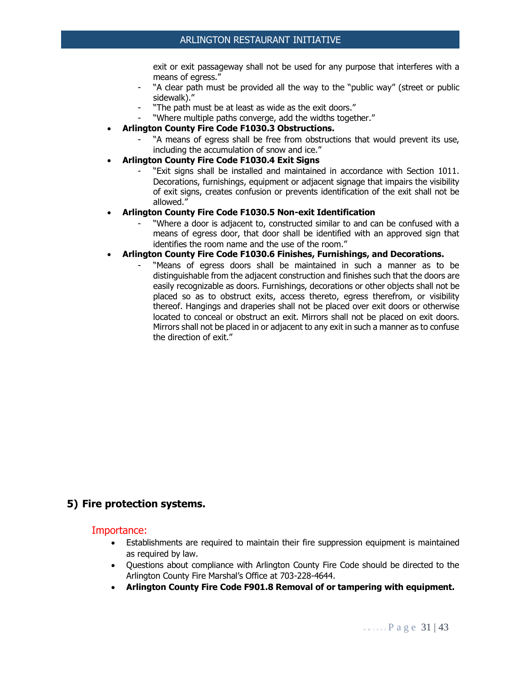exit or exit passageway shall not be used for any purpose that interferes with a means of egress."

- "A clear path must be provided all the way to the "public way" (street or public sidewalk)."
- "The path must be at least as wide as the exit doors."
- "Where multiple paths converge, add the widths together."
- **Arlington County Fire Code F1030.3 Obstructions.**
	- "A means of egress shall be free from obstructions that would prevent its use, including the accumulation of snow and ice."
- **Arlington County Fire Code F1030.4 Exit Signs**
	- "Exit signs shall be installed and maintained in accordance with Section 1011. Decorations, furnishings, equipment or adjacent signage that impairs the visibility of exit signs, creates confusion or prevents identification of the exit shall not be allowed."
- **Arlington County Fire Code F1030.5 Non-exit Identification**
	- "Where a door is adjacent to, constructed similar to and can be confused with a means of egress door, that door shall be identified with an approved sign that identifies the room name and the use of the room."
- **Arlington County Fire Code F1030.6 Finishes, Furnishings, and Decorations.**
	- "Means of egress doors shall be maintained in such a manner as to be distinguishable from the adjacent construction and finishes such that the doors are easily recognizable as doors. Furnishings, decorations or other objects shall not be placed so as to obstruct exits, access thereto, egress therefrom, or visibility thereof. Hangings and draperies shall not be placed over exit doors or otherwise located to conceal or obstruct an exit. Mirrors shall not be placed on exit doors. Mirrors shall not be placed in or adjacent to any exit in such a manner as to confuse the direction of exit."

#### **5) Fire protection systems.**

- Establishments are required to maintain their fire suppression equipment is maintained as required by law.
- Questions about compliance with Arlington County Fire Code should be directed to the Arlington County Fire Marshal's Office at 703-228-4644.
- **Arlington County Fire Code F901.8 Removal of or tampering with equipment.**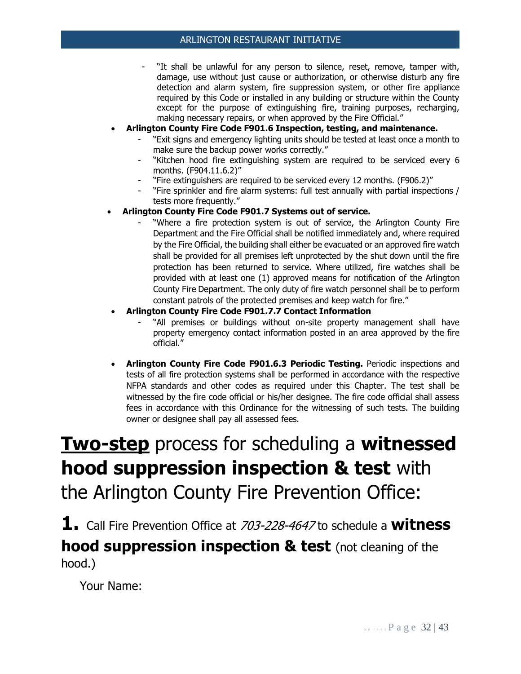- "It shall be unlawful for any person to silence, reset, remove, tamper with, damage, use without just cause or authorization, or otherwise disturb any fire detection and alarm system, fire suppression system, or other fire appliance required by this Code or installed in any building or structure within the County except for the purpose of extinguishing fire, training purposes, recharging, making necessary repairs, or when approved by the Fire Official."
- **Arlington County Fire Code F901.6 Inspection, testing, and maintenance.**
	- "Exit signs and emergency lighting units should be tested at least once a month to make sure the backup power works correctly."
	- "Kitchen hood fire extinguishing system are required to be serviced every 6 months. (F904.11.6.2)"
	- "Fire extinguishers are required to be serviced every 12 months. (F906.2)"
	- "Fire sprinkler and fire alarm systems: full test annually with partial inspections / tests more frequently."
- **Arlington County Fire Code F901.7 Systems out of service.**
	- "Where a fire protection system is out of service, the Arlington County Fire Department and the Fire Official shall be notified immediately and, where required by the Fire Official, the building shall either be evacuated or an approved fire watch shall be provided for all premises left unprotected by the shut down until the fire protection has been returned to service. Where utilized, fire watches shall be provided with at least one (1) approved means for notification of the Arlington County Fire Department. The only duty of fire watch personnel shall be to perform constant patrols of the protected premises and keep watch for fire."

#### • **Arlington County Fire Code F901.7.7 Contact Information**

- "All premises or buildings without on-site property management shall have property emergency contact information posted in an area approved by the fire official."
- **Arlington County Fire Code F901.6.3 Periodic Testing.** Periodic inspections and tests of all fire protection systems shall be performed in accordance with the respective NFPA standards and other codes as required under this Chapter. The test shall be witnessed by the fire code official or his/her designee. The fire code official shall assess fees in accordance with this Ordinance for the witnessing of such tests. The building owner or designee shall pay all assessed fees.

# **Two-step** process for scheduling a **witnessed hood suppression inspection & test** with the Arlington County Fire Prevention Office:

**1.** Call Fire Prevention Office at 703-228-4647 to schedule a **witness hood suppression inspection & test** (not cleaning of the hood.)

Your Name: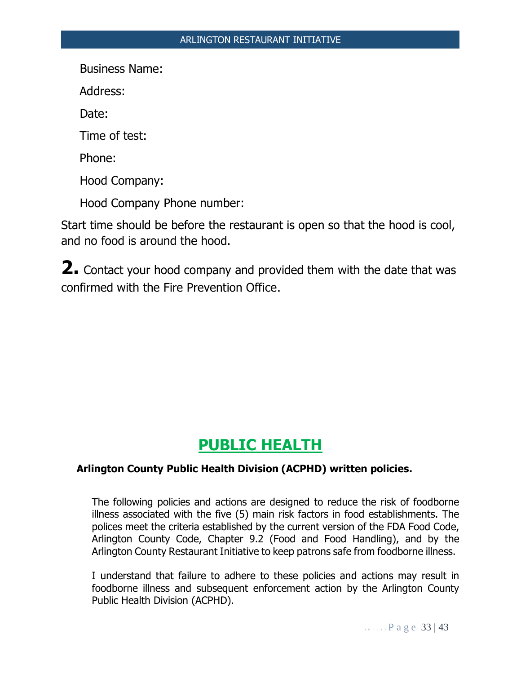Business Name:

Address:

Date:

Time of test:

Phone:

Hood Company:

Hood Company Phone number:

Start time should be before the restaurant is open so that the hood is cool, and no food is around the hood.

**2.** Contact your hood company and provided them with the date that was confirmed with the Fire Prevention Office.

## **PUBLIC HEALTH**

#### **Arlington County Public Health Division (ACPHD) written policies.**

The following policies and actions are designed to reduce the risk of foodborne illness associated with the five (5) main risk factors in food establishments. The polices meet the criteria established by the current version of the FDA Food Code, Arlington County Code, Chapter 9.2 (Food and Food Handling), and by the Arlington County Restaurant Initiative to keep patrons safe from foodborne illness.

I understand that failure to adhere to these policies and actions may result in foodborne illness and subsequent enforcement action by the Arlington County Public Health Division (ACPHD).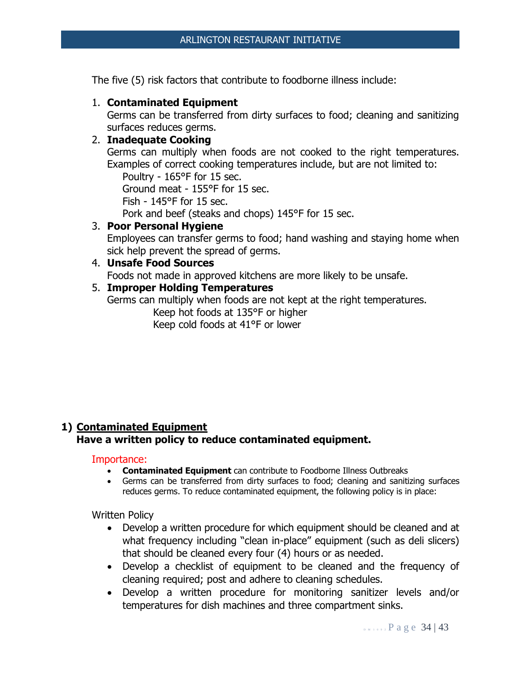The five (5) risk factors that contribute to foodborne illness include:

#### 1. **Contaminated Equipment**

Germs can be transferred from dirty surfaces to food; cleaning and sanitizing surfaces reduces germs.

#### 2. **Inadequate Cooking**

Germs can multiply when foods are not cooked to the right temperatures. Examples of correct cooking temperatures include, but are not limited to:

Poultry - 165°F for 15 sec.

Ground meat - 155°F for 15 sec.

Fish - 145°F for 15 sec.

Pork and beef (steaks and chops) 145°F for 15 sec.

#### 3. **Poor Personal Hygiene**

Employees can transfer germs to food; hand washing and staying home when sick help prevent the spread of germs.

## 4. **Unsafe Food Sources**

Foods not made in approved kitchens are more likely to be unsafe.

#### 5. **Improper Holding Temperatures**

Germs can multiply when foods are not kept at the right temperatures. Keep hot foods at 135°F or higher Keep cold foods at 41°F or lower

## **1) Contaminated Equipment Have a written policy to reduce contaminated equipment.**

#### Importance:

- **Contaminated Equipment** can contribute to Foodborne Illness Outbreaks
- Germs can be transferred from dirty surfaces to food; cleaning and sanitizing surfaces reduces germs. To reduce contaminated equipment, the following policy is in place:

Written Policy

- Develop a written procedure for which equipment should be cleaned and at what frequency including "clean in-place" equipment (such as deli slicers) that should be cleaned every four (4) hours or as needed.
- Develop a checklist of equipment to be cleaned and the frequency of cleaning required; post and adhere to cleaning schedules.
- Develop a written procedure for monitoring sanitizer levels and/or temperatures for dish machines and three compartment sinks.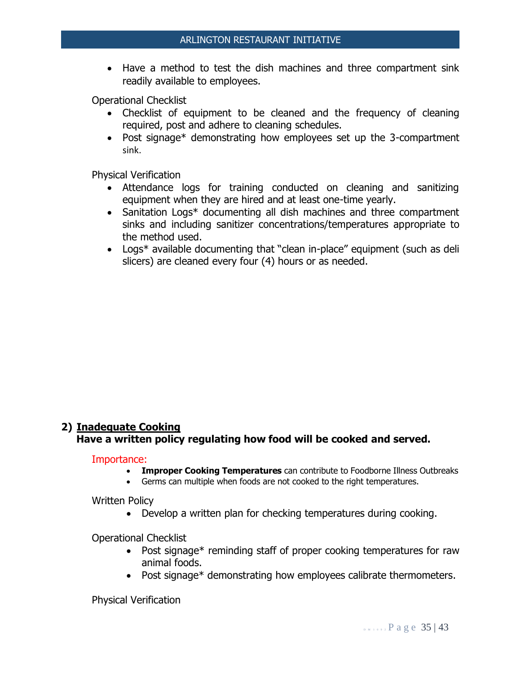• Have a method to test the dish machines and three compartment sink readily available to employees.

Operational Checklist

- Checklist of equipment to be cleaned and the frequency of cleaning required, post and adhere to cleaning schedules.
- Post signage\* demonstrating how employees set up the 3-compartment sink.

Physical Verification

- Attendance logs for training conducted on cleaning and sanitizing equipment when they are hired and at least one-time yearly.
- Sanitation Logs\* documenting all dish machines and three compartment sinks and including sanitizer concentrations/temperatures appropriate to the method used.
- Logs<sup>\*</sup> available documenting that "clean in-place" equipment (such as deli slicers) are cleaned every four (4) hours or as needed.

## **2) Inadequate Cooking Have a written policy regulating how food will be cooked and served.**

Importance:

- **Improper Cooking Temperatures** can contribute to Foodborne Illness Outbreaks
- Germs can multiple when foods are not cooked to the right temperatures.

Written Policy

• Develop a written plan for checking temperatures during cooking.

Operational Checklist

- Post signage\* reminding staff of proper cooking temperatures for raw animal foods.
- Post signage\* demonstrating how employees calibrate thermometers.

Physical Verification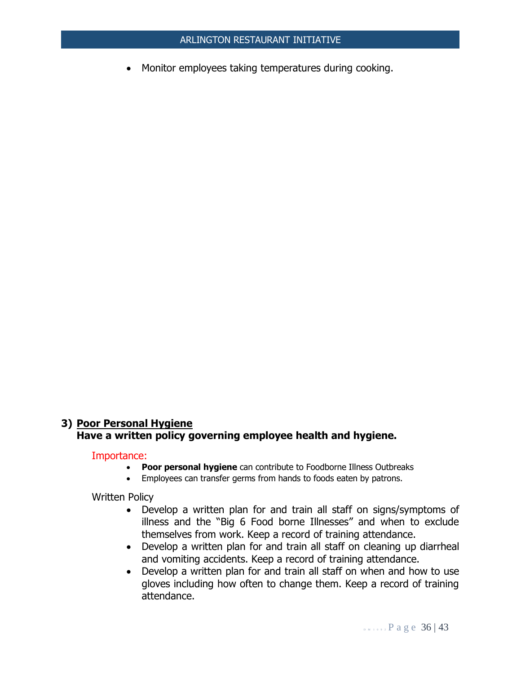• Monitor employees taking temperatures during cooking.

## **3) Poor Personal Hygiene Have a written policy governing employee health and hygiene.**

#### Importance:

- **Poor personal hygiene** can contribute to Foodborne Illness Outbreaks
- Employees can transfer germs from hands to foods eaten by patrons.

Written Policy

- Develop a written plan for and train all staff on signs/symptoms of illness and the "Big 6 Food borne Illnesses" and when to exclude themselves from work. Keep a record of training attendance.
- Develop a written plan for and train all staff on cleaning up diarrheal and vomiting accidents. Keep a record of training attendance.
- Develop a written plan for and train all staff on when and how to use gloves including how often to change them. Keep a record of training attendance.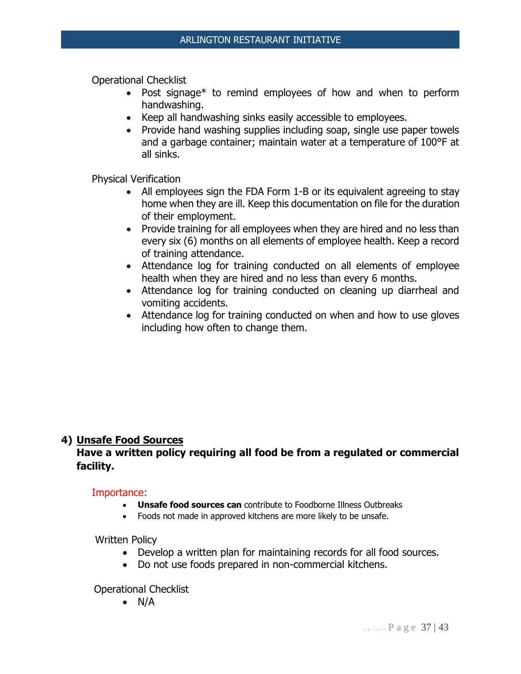Operational Checklist

- Post signage\* to remind employees of how and when to perform handwashing.
- Keep all handwashing sinks easily accessible to employees.
- Provide hand washing supplies including soap, single use paper towels and a garbage container; maintain water at a temperature of 100°F at all sinks.

Physical Verification

- All employees sign the FDA Form 1-B or its equivalent agreeing to stay home when they are ill. Keep this documentation on file for the duration of their employment.
- Provide training for all employees when they are hired and no less than every six (6) months on all elements of employee health. Keep a record of training attendance.
- Attendance log for training conducted on all elements of employee health when they are hired and no less than every 6 months.
- Attendance log for training conducted on cleaning up diarrheal and vomiting accidents.
- Attendance log for training conducted on when and how to use gloves including how often to change them.

## **4) Unsafe Food Sources**

## **Have a written policy requiring all food be from a regulated or commercial facility.**

#### Importance:

- **Unsafe food sources can** contribute to Foodborne Illness Outbreaks
- Foods not made in approved kitchens are more likely to be unsafe.

Written Policy

- Develop a written plan for maintaining records for all food sources.
- Do not use foods prepared in non-commercial kitchens.

Operational Checklist

• N/A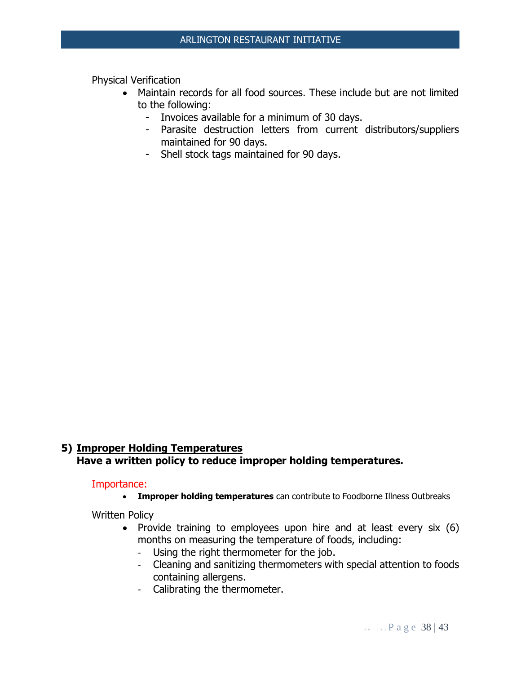Physical Verification

- Maintain records for all food sources. These include but are not limited to the following:
	- Invoices available for a minimum of 30 days.
	- Parasite destruction letters from current distributors/suppliers maintained for 90 days.
	- Shell stock tags maintained for 90 days.

## **5) Improper Holding Temperatures Have a written policy to reduce improper holding temperatures.**

#### Importance:

• **Improper holding temperatures** can contribute to Foodborne Illness Outbreaks

Written Policy

- Provide training to employees upon hire and at least every six (6) months on measuring the temperature of foods, including:
	- Using the right thermometer for the job.
	- Cleaning and sanitizing thermometers with special attention to foods containing allergens.
	- Calibrating the thermometer.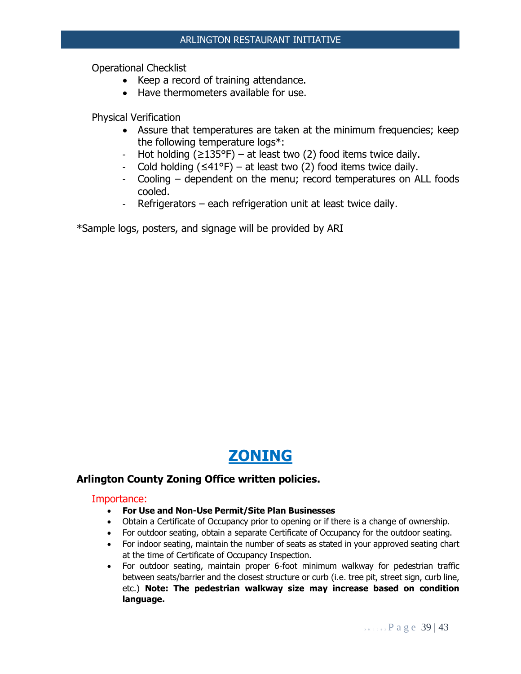Operational Checklist

- Keep a record of training attendance.
- Have thermometers available for use.

Physical Verification

- Assure that temperatures are taken at the minimum frequencies; keep the following temperature logs\*:
- Hot holding  $(\geq 135^{\circ}F)$  at least two (2) food items twice daily.
- Cold holding  $(≤41°F) at least two (2) food items twice daily.$
- Cooling dependent on the menu; record temperatures on ALL foods cooled.
- Refrigerators each refrigeration unit at least twice daily.

\*Sample logs, posters, and signage will be provided by ARI

## **ZONING**

#### **Arlington County Zoning Office written policies.**

- **For Use and Non-Use Permit/Site Plan Businesses**
- Obtain a Certificate of Occupancy prior to opening or if there is a change of ownership.
- For outdoor seating, obtain a separate Certificate of Occupancy for the outdoor seating.
- For indoor seating, maintain the number of seats as stated in your approved seating chart at the time of Certificate of Occupancy Inspection.
- For outdoor seating, maintain proper 6-foot minimum walkway for pedestrian traffic between seats/barrier and the closest structure or curb (i.e. tree pit, street sign, curb line, etc.) **Note: The pedestrian walkway size may increase based on condition language.**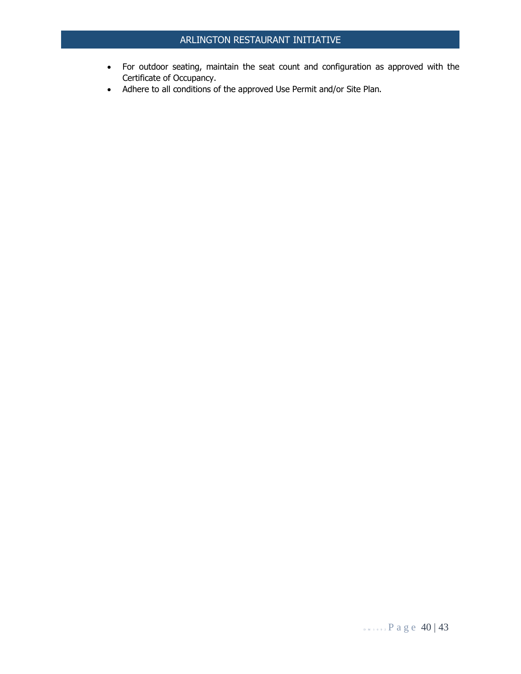- For outdoor seating, maintain the seat count and configuration as approved with the Certificate of Occupancy.
- Adhere to all conditions of the approved Use Permit and/or Site Plan.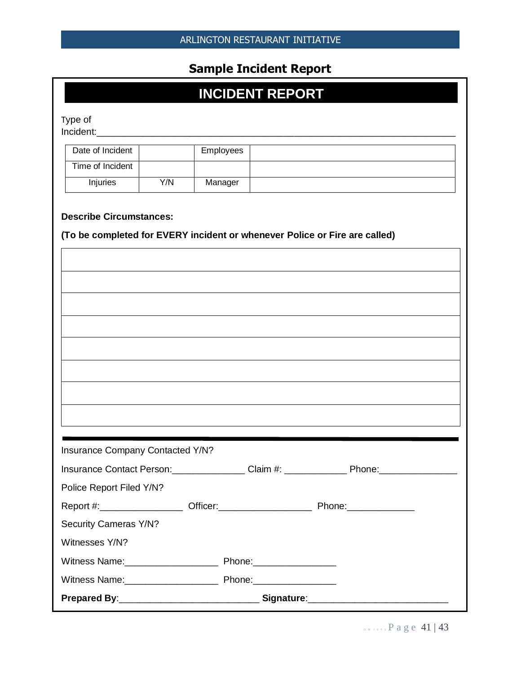## **Sample Incident Report**

# **INCIDENT REPORT**

Type of

Incident:\_\_\_\_\_\_\_\_\_\_\_\_\_\_\_\_\_\_\_\_\_\_\_\_\_\_\_\_\_\_\_\_\_\_\_\_\_\_\_\_\_\_\_\_\_\_\_\_\_\_\_\_\_\_\_\_\_\_\_\_\_\_\_\_\_\_\_\_\_

| Date of Incident |     | Employees |  |
|------------------|-----|-----------|--|
| Time of Incident |     |           |  |
| <b>Injuries</b>  | Y/N | Manager   |  |

#### **Describe Circumstances:**

#### **(To be completed for EVERY incident or whenever Police or Fire are called)**

| Insurance Company Contacted Y/N?                                                                                                 |  |  |  |  |
|----------------------------------------------------------------------------------------------------------------------------------|--|--|--|--|
|                                                                                                                                  |  |  |  |  |
|                                                                                                                                  |  |  |  |  |
|                                                                                                                                  |  |  |  |  |
|                                                                                                                                  |  |  |  |  |
|                                                                                                                                  |  |  |  |  |
|                                                                                                                                  |  |  |  |  |
| Insurance Contact Person: Claim #: Claim #: Phone: Phone:<br>Police Report Filed Y/N?<br>Security Cameras Y/N?<br>Witnesses Y/N? |  |  |  |  |

 $D_{M+0}$ , Page 41 | 43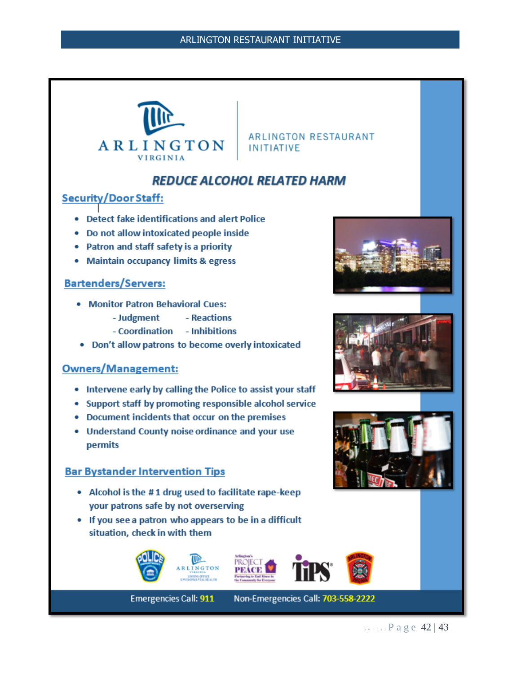

**ARLINGTON RESTAURANT INITIATIVE** 

## **REDUCE ALCOHOL RELATED HARM**

## **Security/Door Staff:**

- Detect fake identifications and alert Police
- Do not allow intoxicated people inside
- Patron and staff safety is a priority
- Maintain occupancy limits & egress

#### **Bartenders/Servers:**

- Monitor Patron Behavioral Cues:
	- Judgment - Reactions
	- Coordination Inhibitions
- Don't allow patrons to become overly intoxicated

## **Owners/Management:**

- Intervene early by calling the Police to assist your staff
- Support staff by promoting responsible alcohol service
- Document incidents that occur on the premises
- Understand County noise ordinance and your use permits

#### **Bar Bystander Intervention Tips**

- Alcohol is the #1 drug used to facilitate rape-keep your patrons safe by not overserving
- If you see a patron who appears to be in a difficult situation, check in with them









**Emergencies Call: 911** 

Non-Emergencies Call: 703-558-2222







 $D$  M 1 0 9 2 P a g e 42 | 43